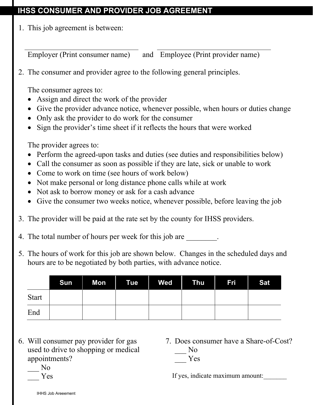## **IHSS CONSUMER AND PROVIDER JOB AGREEMENT**

1. This job agreement is between:

Employer (Print consumer name) and Employee (Print provider name)

2. The consumer and provider agree to the following general principles.

The consumer agrees to:

- Assign and direct the work of the provider
- Give the provider advance notice, whenever possible, when hours or duties change
- Only ask the provider to do work for the consumer
- Sign the provider's time sheet if it reflects the hours that were worked

The provider agrees to:

- Perform the agreed-upon tasks and duties (see duties and responsibilities below)
- Call the consumer as soon as possible if they are late, sick or unable to work
- Come to work on time (see hours of work below)
- Not make personal or long distance phone calls while at work
- Not ask to borrow money or ask for a cash advance
- Give the consumer two weeks notice, whenever possible, before leaving the job
- 3. The provider will be paid at the rate set by the county for IHSS providers.
- 4. The total number of hours per week for this job are  $\blacksquare$
- 5. The hours of work for this job are shown below. Changes in the scheduled days and hours are to be negotiated by both parties, with advance notice.

|              | Sun | <b>Mon</b> Tue | <b>Ned</b> | $\blacksquare$ Thu | <b>Fri</b> | <b>Sat</b> |
|--------------|-----|----------------|------------|--------------------|------------|------------|
| <b>Start</b> |     |                |            |                    |            |            |
| End          |     |                |            |                    |            |            |

- 6. Will consumer pay provider for gas used to drive to shopping or medical appointments?
- 7. Does consumer have a Share-of-Cost? N<sub>o</sub> \_\_\_ Yes

 \_\_\_ No \_\_\_ Yes

If yes, indicate maximum amount: